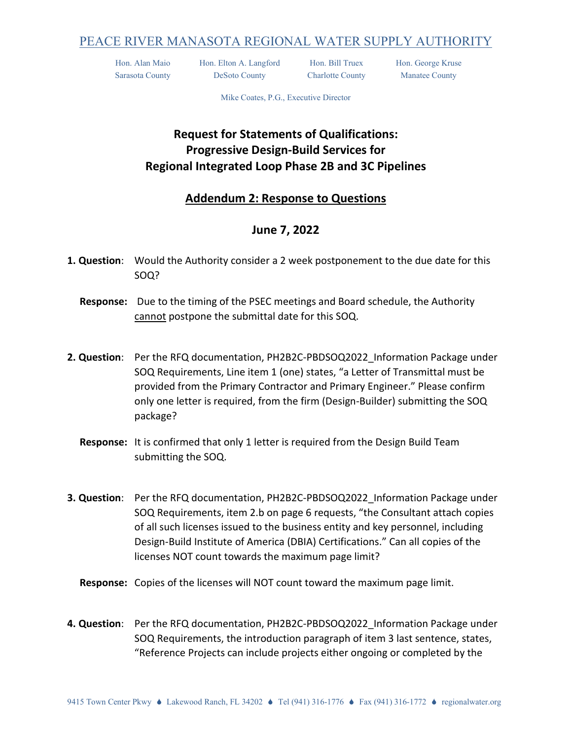## PEACE RIVER MANASOTA REGIONAL WATER SUPPLY AUTHORITY

Hon. Alan Maio Hon. Elton A. Langford Hon. Bill Truex Hon. George Kruse Sarasota County DeSoto County Charlotte County Manatee County

Mike Coates, P.G., Executive Director

## **Request for Statements of Qualifications: Progressive Design-Build Services for Regional Integrated Loop Phase 2B and 3C Pipelines**

## **Addendum 2: Response to Questions**

## **June 7, 2022**

- **1. Question**: Would the Authority consider a 2 week postponement to the due date for this SOQ?
	- **Response:** Due to the timing of the PSEC meetings and Board schedule, the Authority cannot postpone the submittal date for this SOQ.
- **2. Question**: Per the RFQ documentation, PH2B2C-PBDSOQ2022\_Information Package under SOQ Requirements, Line item 1 (one) states, "a Letter of Transmittal must be provided from the Primary Contractor and Primary Engineer." Please confirm only one letter is required, from the firm (Design-Builder) submitting the SOQ package?
	- **Response:** It is confirmed that only 1 letter is required from the Design Build Team submitting the SOQ.
- **3. Question**: Per the RFQ documentation, PH2B2C-PBDSOQ2022\_Information Package under SOQ Requirements, item 2.b on page 6 requests, "the Consultant attach copies of all such licenses issued to the business entity and key personnel, including Design-Build Institute of America (DBIA) Certifications." Can all copies of the licenses NOT count towards the maximum page limit?
	- **Response:** Copies of the licenses will NOT count toward the maximum page limit.
- **4. Question**: Per the RFQ documentation, PH2B2C-PBDSOQ2022\_Information Package under SOQ Requirements, the introduction paragraph of item 3 last sentence, states, "Reference Projects can include projects either ongoing or completed by the